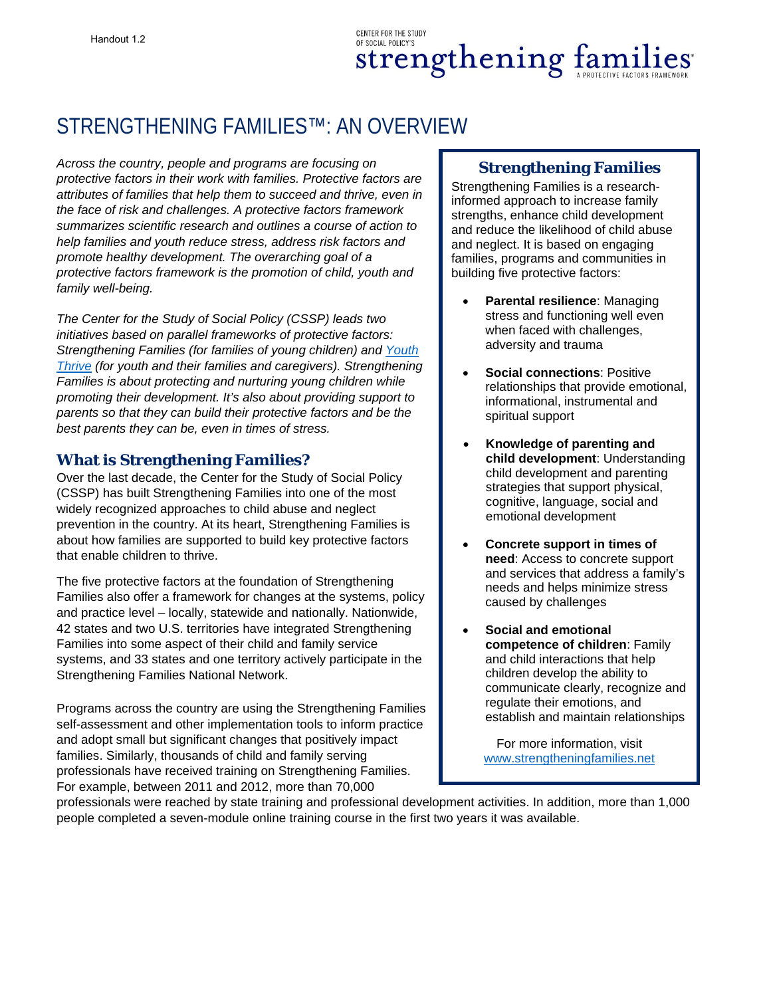# STRENGTHENING FAMILIES™: AN OVERVIEW

*Across the country, people and programs are focusing on protective factors in their work with families. Protective factors are attributes of families that help them to succeed and thrive, even in the face of risk and challenges. A protective factors framework summarizes scientific research and outlines a course of action to help families and youth reduce stress, address risk factors and promote healthy development. The overarching goal of a protective factors framework is the promotion of child, youth and family well-being.* 

*The Center for the Study of Social Policy (CSSP) leads two initiatives based on parallel frameworks of protective factors: Strengthening Families (for families of young children) and [Youth](http://www.cssp.org/reform/child-welfare/youth-thrive/Youth-Thrive-PPF-definitions.pdf)  [Thrive](http://www.cssp.org/reform/child-welfare/youth-thrive/Youth-Thrive-PPF-definitions.pdf) (for youth and their families and caregivers). Strengthening Families is about protecting and nurturing young children while promoting their development. It's also about providing support to parents so that they can build their protective factors and be the best parents they can be, even in times of stress.* 

#### **What is Strengthening Families?**

Over the last decade, the Center for the Study of Social Policy (CSSP) has built Strengthening Families into one of the most widely recognized approaches to child abuse and neglect prevention in the country. At its heart, Strengthening Families is about how families are supported to build key protective factors that enable children to thrive.

The five protective factors at the foundation of Strengthening Families also offer a framework for changes at the systems, policy and practice level – locally, statewide and nationally. Nationwide, 42 states and two U.S. territories have integrated Strengthening Families into some aspect of their child and family service systems, and 33 states and one territory actively participate in the Strengthening Families National Network.

Programs across the country are using the Strengthening Families self-assessment and other implementation tools to inform practice and adopt small but significant changes that positively impact families. Similarly, thousands of child and family serving professionals have received training on Strengthening Families. For example, between 2011 and 2012, more than 70,000

## **Strengthening Families**

Strengthening Families is a researchinformed approach to increase family strengths, enhance child development and reduce the likelihood of child abuse and neglect. It is based on engaging families, programs and communities in building five protective factors:

- **Parental resilience**: Managing stress and functioning well even when faced with challenges, adversity and trauma
- **Social connections: Positive** relationships that provide emotional, informational, instrumental and spiritual support
- **Knowledge of parenting and child development**: Understanding child development and parenting strategies that support physical, cognitive, language, social and emotional development
- **Concrete support in times of need**: Access to concrete support and services that address a family's needs and helps minimize stress caused by challenges
- **Social and emotional competence of children**: Family and child interactions that help children develop the ability to communicate clearly, recognize and regulate their emotions, and establish and maintain relationships

For more information, visit [www.strengtheningfamilies.net](http://www.strengtheningfamilies.net/)

professionals were reached by state training and professional development activities. In addition, more than 1,000 people completed a seven-module online training course in the first two years it was available.